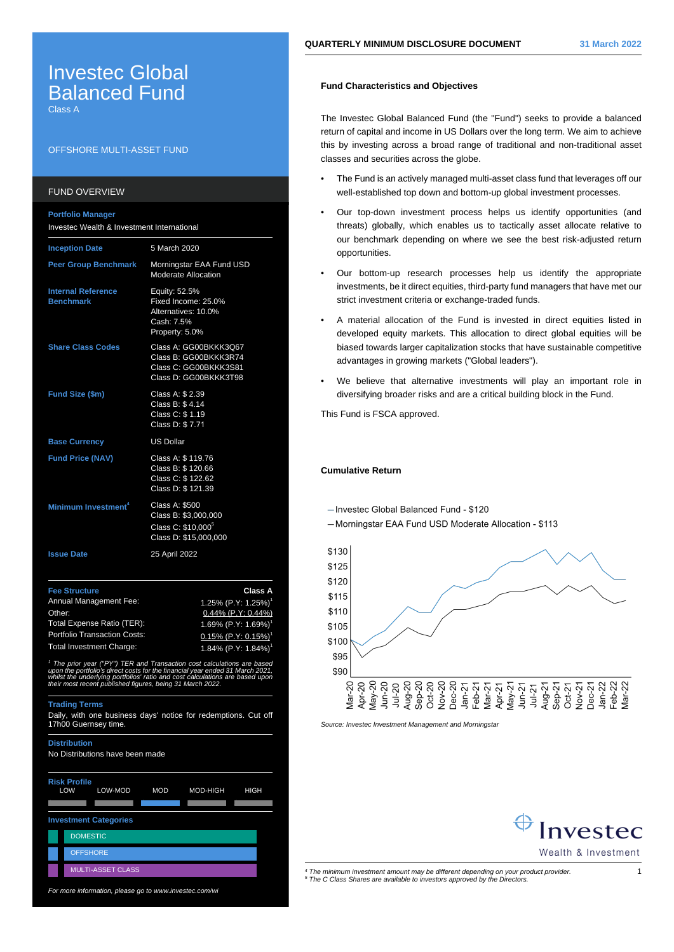# Investec Global **Balanced Fund**

Class A

## OFFSHORE MULTI-ASSET FUND

## FUND OVERVIEW

| <b>Portfolio Manager</b><br>Investec Wealth & Investment International                 |                                                                                                   |  |  |
|----------------------------------------------------------------------------------------|---------------------------------------------------------------------------------------------------|--|--|
| <b>Inception Date</b>                                                                  | 5 March 2020                                                                                      |  |  |
| <b>Peer Group Benchmark</b>                                                            | Morningstar EAA Fund USD<br><b>Moderate Allocation</b>                                            |  |  |
| <b>Internal Reference</b><br><b>Benchmark</b>                                          | Equity: 52.5%<br>Fixed Income: 25.0%<br>Alternatives: 10.0%<br>Cash: 7.5%<br>Property: 5.0%       |  |  |
| <b>Share Class Codes</b>                                                               | Class A: GG00BKKK3Q67<br>Class B: GG00BKKK3R74<br>Class C: GG00BKKK3S81<br>Class D: GG00BKKK3T98  |  |  |
| Fund Size (\$m)                                                                        | Class A: \$ 2.39<br>Class B: \$4.14<br>Class C: \$1.19<br>Class D: \$7.71                         |  |  |
| <b>Base Currency</b>                                                                   | <b>US Dollar</b>                                                                                  |  |  |
| <b>Fund Price (NAV)</b>                                                                | Class A: \$ 119.76<br>Class B: \$ 120.66<br>Class C: \$122.62<br>Class D: \$121.39                |  |  |
| Minimum Investment <sup>4</sup>                                                        | Class A: \$500<br>Class B: \$3,000,000<br>Class C: \$10,000 <sup>5</sup><br>Class D: \$15,000,000 |  |  |
| <b>Issue Date</b>                                                                      | 25 April 2022                                                                                     |  |  |
| <b>Fee Structure</b><br>Annual Management Fee:<br>Other:<br>Total Expense Ratio (TER): | <b>Class A</b><br>1.25% (P.Y: 1.25%) <sup>1</sup><br>0.44% (P.Y: 0.44%)<br>1.69% (P.Y: 1.69%)     |  |  |
| Portfolio Transaction Costs:                                                           | $0.15\%$ (P Y <sup>.</sup> 0.15%) <sup>1</sup>                                                    |  |  |

Total Investment Charge: 1.84% (P.Y: 1.84%) <sup>1</sup> The prior year ("PY") TER and Transaction cost calculations are based upon the portfolio's direct costs for the financial year ended 31 March 2021, whilst the underlying portfolios' ratio and cost calculations are based upon their most recent published figures, being 31 March 2022.

#### **Trading Terms**

Daily, with one business days' notice for redemptions. Cut off 17h00 Guernsey time.

**Distribution** No Distributions have been made **Risk Profile** LOW LOW-MOD MOD MOD-HIGH HIGH A A A A A **Investment Categories DOMESTIC OFFSHORE** MULTI-ASSET CLASS

For more information, please go to www.investec.com/wi

## **Fund Characteristics and Objectives**

The Investec Global Balanced Fund (the "Fund") seeks to provide a balanced return of capital and income in US Dollars over the long term. We aim to achieve this by investing across a broad range of traditional and non-traditional asset classes and securities across the globe.

- The Fund is an actively managed multi-asset class fund that leverages off our well-established top down and bottom-up global investment processes.
- Our top-down investment process helps us identify opportunities (and threats) globally, which enables us to tactically asset allocate relative to our benchmark depending on where we see the best risk-adjusted return opportunities.
- Our bottom-up research processes help us identify the appropriate investments, be it direct equities, third-party fund managers that have met our strict investment criteria or exchange-traded funds.
- A material allocation of the Fund is invested in direct equities listed in developed equity markets. This allocation to direct global equities will be biased towards larger capitalization stocks that have sustainable competitive advantages in growing markets ("Global leaders").
- We believe that alternative investments will play an important role in diversifying broader risks and are a critical building block in the Fund.

This Fund is FSCA approved.

## **Cumulative Return**

-Invested Global Balanced Fund - \$120

- Morningstar EAA Fund USD Moderate Allocation - \$113



Source: Investec Investment Management and Morningstar



4 The minimum investment amount may be different depending on your product provider. 1 5 The C Class Shares are available to investors approved by the Directors.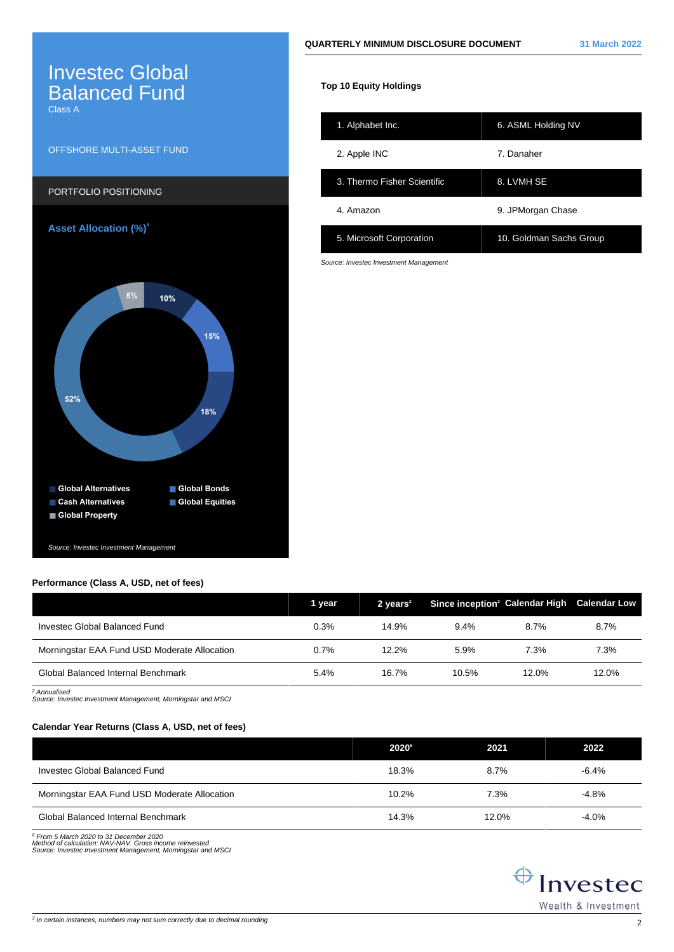# **QUARTERLY MINIMUM DISCLOSURE DOCUMENT 31 March 2022**

# Investec Global **Balanced Fund**

Class A

# OFFSHORE MULTI-ASSET FUND



# **Performance (Class A, USD, net of fees)**

|                                              | 1 year | 2 years $2$ | Since inception <sup>2</sup> Calendar High Calendar Low |       |       |
|----------------------------------------------|--------|-------------|---------------------------------------------------------|-------|-------|
| Investec Global Balanced Fund                | 0.3%   | 14.9%       | 9.4%                                                    | 8.7%  | 8.7%  |
| Morningstar EAA Fund USD Moderate Allocation | 0.7%   | 12.2%       | 5.9%                                                    | 7.3%  | 7.3%  |
| Global Balanced Internal Benchmark           | 5.4%   | 16.7%       | 10.5%                                                   | 12.0% | 12.0% |

2 Annualised Source: Investec Investment Management, Morningstar and MSCI

# **Calendar Year Returns (Class A, USD, net of fees)**

|                                              | $2020^{\circ}$ | 2021    | 2022     |
|----------------------------------------------|----------------|---------|----------|
| Investec Global Balanced Fund                | 18.3%          | $8.7\%$ | $-6.4%$  |
| Morningstar EAA Fund USD Moderate Allocation | 10.2%          | 7.3%    | $-4.8%$  |
| Global Balanced Internal Benchmark           | 14.3%          | 12.0%   | $-4.0\%$ |

<sup>6</sup> From 5 March 2020 to 31 December 2020<br>Method of calculation: NAV-NAV. Gross income reinvested<br>Source: Investec Investment Management, Morningstar and MSCi



|  | <b>Top 10 Equity Holdings</b> |
|--|-------------------------------|
|  |                               |
|  |                               |
|  |                               |

| 1. Alphabet Inc.            | 6. ASML Holding NV      |
|-----------------------------|-------------------------|
| 2. Apple INC                | 7. Danaher              |
| 3. Thermo Fisher Scientific | 8. LVMH SE              |
| 4. Amazon                   | 9. JPMorgan Chase       |
| 5. Microsoft Corporation    | 10. Goldman Sachs Group |

Source: Investec Investment Management